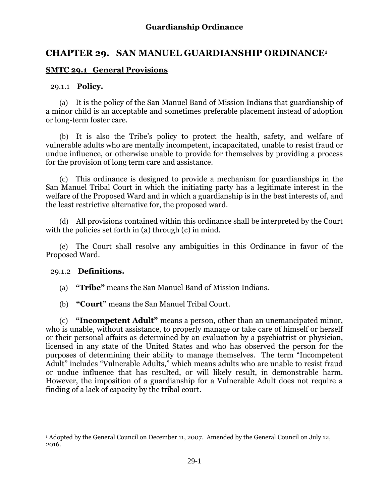# **CHAPTER 29. SAN MANUEL GUARDIANSHIP ORDINANCE<sup>1</sup>**

## **SMTC 29.1 General Provisions**

### 29.1.1 **Policy.**

(a) It is the policy of the San Manuel Band of Mission Indians that guardianship of a minor child is an acceptable and sometimes preferable placement instead of adoption or long-term foster care.

(b) It is also the Tribe's policy to protect the health, safety, and welfare of vulnerable adults who are mentally incompetent, incapacitated, unable to resist fraud or undue influence, or otherwise unable to provide for themselves by providing a process for the provision of long term care and assistance.

(c) This ordinance is designed to provide a mechanism for guardianships in the San Manuel Tribal Court in which the initiating party has a legitimate interest in the welfare of the Proposed Ward and in which a guardianship is in the best interests of, and the least restrictive alternative for, the proposed ward.

(d) All provisions contained within this ordinance shall be interpreted by the Court with the policies set forth in (a) through (c) in mind.

(e) The Court shall resolve any ambiguities in this Ordinance in favor of the Proposed Ward.

### 29.1.2 **Definitions.**

 $\overline{a}$ 

- (a) **"Tribe"** means the San Manuel Band of Mission Indians.
- (b) **"Court"** means the San Manuel Tribal Court.

(c) **"Incompetent Adult"** means a person, other than an unemancipated minor, who is unable, without assistance, to properly manage or take care of himself or herself or their personal affairs as determined by an evaluation by a psychiatrist or physician, licensed in any state of the United States and who has observed the person for the purposes of determining their ability to manage themselves. The term "Incompetent Adult" includes "Vulnerable Adults," which means adults who are unable to resist fraud or undue influence that has resulted, or will likely result, in demonstrable harm. However, the imposition of a guardianship for a Vulnerable Adult does not require a finding of a lack of capacity by the tribal court.

<sup>1</sup> Adopted by the General Council on December 11, 2007. Amended by the General Council on July 12, 2016.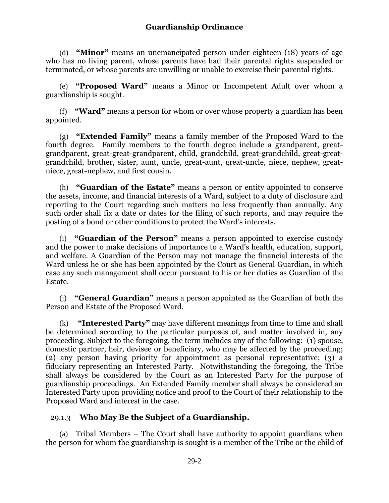(d) **"Minor"** means an unemancipated person under eighteen (18) years of age who has no living parent, whose parents have had their parental rights suspended or terminated, or whose parents are unwilling or unable to exercise their parental rights.

(e) **"Proposed Ward"** means a Minor or Incompetent Adult over whom a guardianship is sought.

(f) **"Ward"** means a person for whom or over whose property a guardian has been appointed.

(g) **"Extended Family"** means a family member of the Proposed Ward to the fourth degree. Family members to the fourth degree include a grandparent, greatgrandparent, great-great-grandparent, child, grandchild, great-grandchild, great-greatgrandchild, brother, sister, aunt, uncle, great-aunt, great-uncle, niece, nephew, greatniece, great-nephew, and first cousin.

(h) **"Guardian of the Estate"** means a person or entity appointed to conserve the assets, income, and financial interests of a Ward, subject to a duty of disclosure and reporting to the Court regarding such matters no less frequently than annually. Any such order shall fix a date or dates for the filing of such reports, and may require the posting of a bond or other conditions to protect the Ward's interests.

(i) **"Guardian of the Person"** means a person appointed to exercise custody and the power to make decisions of importance to a Ward's health, education, support, and welfare. A Guardian of the Person may not manage the financial interests of the Ward unless he or she has been appointed by the Court as General Guardian, in which case any such management shall occur pursuant to his or her duties as Guardian of the Estate.

**"General Guardian"** means a person appointed as the Guardian of both the Person and Estate of the Proposed Ward.

(k) **"Interested Party"** may have different meanings from time to time and shall be determined according to the particular purposes of, and matter involved in, any proceeding. Subject to the foregoing, the term includes any of the following: (1) spouse, domestic partner, heir, devisee or beneficiary, who may be affected by the proceeding; (2) any person having priority for appointment as personal representative; (3) a fiduciary representing an Interested Party. Notwithstanding the foregoing, the Tribe shall always be considered by the Court as an Interested Party for the purpose of guardianship proceedings. An Extended Family member shall always be considered an Interested Party upon providing notice and proof to the Court of their relationship to the Proposed Ward and interest in the case.

### 29.1.3 **Who May Be the Subject of a Guardianship.**

(a) Tribal Members – The Court shall have authority to appoint guardians when the person for whom the guardianship is sought is a member of the Tribe or the child of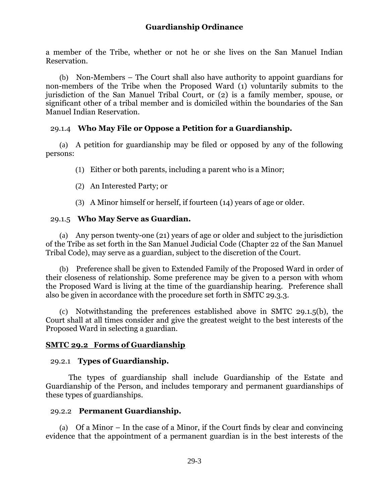a member of the Tribe, whether or not he or she lives on the San Manuel Indian Reservation.

(b) Non-Members – The Court shall also have authority to appoint guardians for non-members of the Tribe when the Proposed Ward (1) voluntarily submits to the jurisdiction of the San Manuel Tribal Court, or (2) is a family member, spouse, or significant other of a tribal member and is domiciled within the boundaries of the San Manuel Indian Reservation.

## 29.1.4 **Who May File or Oppose a Petition for a Guardianship.**

(a) A petition for guardianship may be filed or opposed by any of the following persons:

(1) Either or both parents, including a parent who is a Minor;

- (2) An Interested Party; or
- (3) A Minor himself or herself, if fourteen (14) years of age or older.

## 29.1.5 **Who May Serve as Guardian.**

(a) Any person twenty-one (21) years of age or older and subject to the jurisdiction of the Tribe as set forth in the San Manuel Judicial Code (Chapter 22 of the San Manuel Tribal Code), may serve as a guardian, subject to the discretion of the Court.

(b) Preference shall be given to Extended Family of the Proposed Ward in order of their closeness of relationship. Some preference may be given to a person with whom the Proposed Ward is living at the time of the guardianship hearing. Preference shall also be given in accordance with the procedure set forth in SMTC 29.3.3.

(c) Notwithstanding the preferences established above in SMTC 29.1.5(b), the Court shall at all times consider and give the greatest weight to the best interests of the Proposed Ward in selecting a guardian.

### **SMTC 29.2 Forms of Guardianship**

### 29.2.1 **Types of Guardianship.**

The types of guardianship shall include Guardianship of the Estate and Guardianship of the Person, and includes temporary and permanent guardianships of these types of guardianships.

### 29.2.2 **Permanent Guardianship.**

(a) Of a Minor – In the case of a Minor, if the Court finds by clear and convincing evidence that the appointment of a permanent guardian is in the best interests of the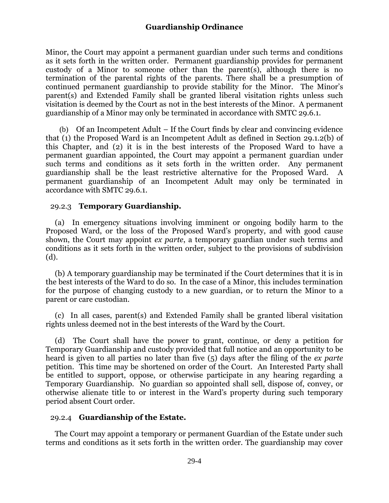Minor, the Court may appoint a permanent guardian under such terms and conditions as it sets forth in the written order. Permanent guardianship provides for permanent custody of a Minor to someone other than the parent(s), although there is no termination of the parental rights of the parents. There shall be a presumption of continued permanent guardianship to provide stability for the Minor. The Minor's parent(s) and Extended Family shall be granted liberal visitation rights unless such visitation is deemed by the Court as not in the best interests of the Minor. A permanent guardianship of a Minor may only be terminated in accordance with SMTC 29.6.1.

(b) Of an Incompetent Adult – If the Court finds by clear and convincing evidence that (1) the Proposed Ward is an Incompetent Adult as defined in Section 29.1.2(b) of this Chapter, and (2) it is in the best interests of the Proposed Ward to have a permanent guardian appointed, the Court may appoint a permanent guardian under such terms and conditions as it sets forth in the written order. Any permanent guardianship shall be the least restrictive alternative for the Proposed Ward. A permanent guardianship of an Incompetent Adult may only be terminated in accordance with SMTC 29.6.1.

## 29.2.3 **Temporary Guardianship.**

(a) In emergency situations involving imminent or ongoing bodily harm to the Proposed Ward, or the loss of the Proposed Ward's property, and with good cause shown, the Court may appoint *ex parte*, a temporary guardian under such terms and conditions as it sets forth in the written order, subject to the provisions of subdivision (d).

(b) A temporary guardianship may be terminated if the Court determines that it is in the best interests of the Ward to do so. In the case of a Minor, this includes termination for the purpose of changing custody to a new guardian, or to return the Minor to a parent or care custodian.

(c) In all cases, parent(s) and Extended Family shall be granted liberal visitation rights unless deemed not in the best interests of the Ward by the Court.

(d) The Court shall have the power to grant, continue, or deny a petition for Temporary Guardianship and custody provided that full notice and an opportunity to be heard is given to all parties no later than five (5) days after the filing of the *ex parte* petition. This time may be shortened on order of the Court. An Interested Party shall be entitled to support, oppose, or otherwise participate in any hearing regarding a Temporary Guardianship. No guardian so appointed shall sell, dispose of, convey, or otherwise alienate title to or interest in the Ward's property during such temporary period absent Court order.

### 29.2.4 **Guardianship of the Estate.**

The Court may appoint a temporary or permanent Guardian of the Estate under such terms and conditions as it sets forth in the written order. The guardianship may cover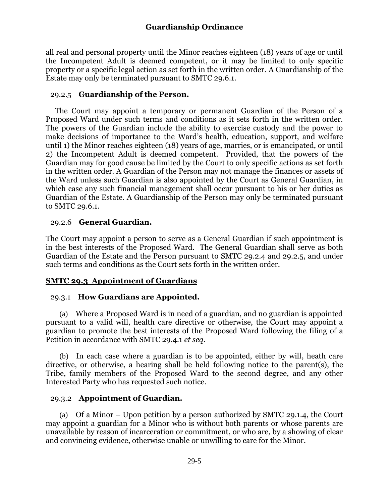all real and personal property until the Minor reaches eighteen (18) years of age or until the Incompetent Adult is deemed competent, or it may be limited to only specific property or a specific legal action as set forth in the written order. A Guardianship of the Estate may only be terminated pursuant to SMTC 29.6.1.

### 29.2.5 **Guardianship of the Person.**

The Court may appoint a temporary or permanent Guardian of the Person of a Proposed Ward under such terms and conditions as it sets forth in the written order. The powers of the Guardian include the ability to exercise custody and the power to make decisions of importance to the Ward's health, education, support, and welfare until 1) the Minor reaches eighteen (18) years of age, marries, or is emancipated, or until 2) the Incompetent Adult is deemed competent. Provided, that the powers of the Guardian may for good cause be limited by the Court to only specific actions as set forth in the written order. A Guardian of the Person may not manage the finances or assets of the Ward unless such Guardian is also appointed by the Court as General Guardian, in which case any such financial management shall occur pursuant to his or her duties as Guardian of the Estate. A Guardianship of the Person may only be terminated pursuant to SMTC 29.6.1.

## 29.2.6 **General Guardian.**

The Court may appoint a person to serve as a General Guardian if such appointment is in the best interests of the Proposed Ward. The General Guardian shall serve as both Guardian of the Estate and the Person pursuant to SMTC 29.2.4 and 29.2.5, and under such terms and conditions as the Court sets forth in the written order.

## **SMTC 29.3 Appointment of Guardians**

### 29.3.1 **How Guardians are Appointed.**

(a) Where a Proposed Ward is in need of a guardian, and no guardian is appointed pursuant to a valid will, health care directive or otherwise, the Court may appoint a guardian to promote the best interests of the Proposed Ward following the filing of a Petition in accordance with SMTC 29.4.1 *et seq*.

(b) In each case where a guardian is to be appointed, either by will, heath care directive, or otherwise, a hearing shall be held following notice to the parent(s), the Tribe, family members of the Proposed Ward to the second degree, and any other Interested Party who has requested such notice.

### 29.3.2 **Appointment of Guardian.**

(a) Of a Minor – Upon petition by a person authorized by SMTC 29.1.4, the Court may appoint a guardian for a Minor who is without both parents or whose parents are unavailable by reason of incarceration or commitment, or who are, by a showing of clear and convincing evidence, otherwise unable or unwilling to care for the Minor.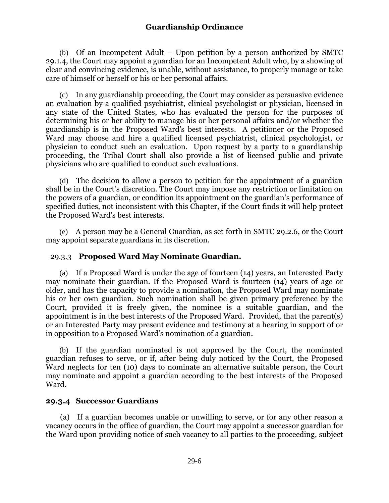(b) Of an Incompetent Adult – Upon petition by a person authorized by SMTC 29.1.4, the Court may appoint a guardian for an Incompetent Adult who, by a showing of clear and convincing evidence, is unable, without assistance, to properly manage or take care of himself or herself or his or her personal affairs.

(c) In any guardianship proceeding, the Court may consider as persuasive evidence an evaluation by a qualified psychiatrist, clinical psychologist or physician, licensed in any state of the United States, who has evaluated the person for the purposes of determining his or her ability to manage his or her personal affairs and/or whether the guardianship is in the Proposed Ward's best interests. A petitioner or the Proposed Ward may choose and hire a qualified licensed psychiatrist, clinical psychologist, or physician to conduct such an evaluation. Upon request by a party to a guardianship proceeding, the Tribal Court shall also provide a list of licensed public and private physicians who are qualified to conduct such evaluations.

(d) The decision to allow a person to petition for the appointment of a guardian shall be in the Court's discretion. The Court may impose any restriction or limitation on the powers of a guardian, or condition its appointment on the guardian's performance of specified duties, not inconsistent with this Chapter, if the Court finds it will help protect the Proposed Ward's best interests.

(e) A person may be a General Guardian, as set forth in SMTC 29.2.6, or the Court may appoint separate guardians in its discretion.

### 29.3.3 **Proposed Ward May Nominate Guardian.**

(a) If a Proposed Ward is under the age of fourteen (14) years, an Interested Party may nominate their guardian. If the Proposed Ward is fourteen (14) years of age or older, and has the capacity to provide a nomination, the Proposed Ward may nominate his or her own guardian. Such nomination shall be given primary preference by the Court, provided it is freely given, the nominee is a suitable guardian, and the appointment is in the best interests of the Proposed Ward. Provided, that the parent(s) or an Interested Party may present evidence and testimony at a hearing in support of or in opposition to a Proposed Ward's nomination of a guardian.

(b) If the guardian nominated is not approved by the Court, the nominated guardian refuses to serve, or if, after being duly noticed by the Court, the Proposed Ward neglects for ten (10) days to nominate an alternative suitable person, the Court may nominate and appoint a guardian according to the best interests of the Proposed Ward.

### **29.3.4 Successor Guardians**

(a) If a guardian becomes unable or unwilling to serve, or for any other reason a vacancy occurs in the office of guardian, the Court may appoint a successor guardian for the Ward upon providing notice of such vacancy to all parties to the proceeding, subject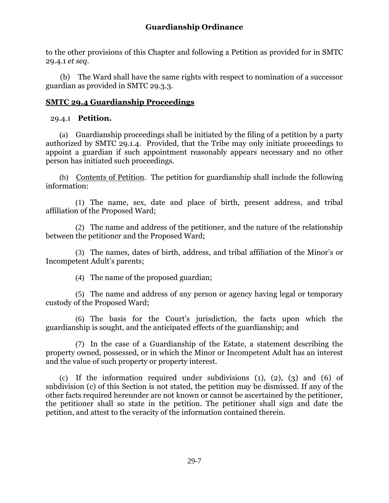to the other provisions of this Chapter and following a Petition as provided for in SMTC 29.4.1 *et seq*.

(b) The Ward shall have the same rights with respect to nomination of a successor guardian as provided in SMTC 29.3.3.

### **SMTC 29.4 Guardianship Proceedings**

### 29.4.1 **Petition.**

(a) Guardianship proceedings shall be initiated by the filing of a petition by a party authorized by SMTC 29.1.4. Provided, that the Tribe may only initiate proceedings to appoint a guardian if such appointment reasonably appears necessary and no other person has initiated such proceedings.

(b) Contents of Petition. The petition for guardianship shall include the following information:

(1) The name, sex, date and place of birth, present address, and tribal affiliation of the Proposed Ward;

(2) The name and address of the petitioner, and the nature of the relationship between the petitioner and the Proposed Ward;

(3) The names, dates of birth, address, and tribal affiliation of the Minor's or Incompetent Adult's parents;

(4) The name of the proposed guardian;

(5) The name and address of any person or agency having legal or temporary custody of the Proposed Ward;

(6) The basis for the Court's jurisdiction, the facts upon which the guardianship is sought, and the anticipated effects of the guardianship; and

(7) In the case of a Guardianship of the Estate, a statement describing the property owned, possessed, or in which the Minor or Incompetent Adult has an interest and the value of such property or property interest.

(c) If the information required under subdivisions (1), (2), (3) and (6) of subdivision (c) of this Section is not stated, the petition may be dismissed. If any of the other facts required hereunder are not known or cannot be ascertained by the petitioner, the petitioner shall so state in the petition. The petitioner shall sign and date the petition, and attest to the veracity of the information contained therein.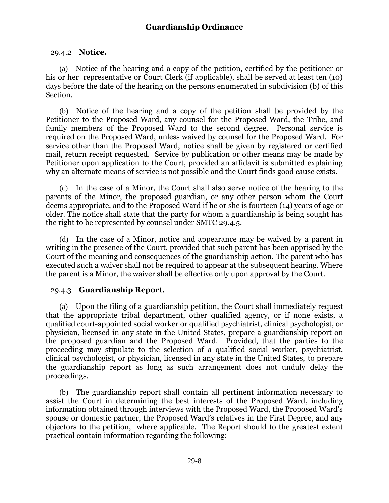#### 29.4.2 **Notice.**

(a) Notice of the hearing and a copy of the petition, certified by the petitioner or his or her representative or Court Clerk (if applicable), shall be served at least ten (10) days before the date of the hearing on the persons enumerated in subdivision (b) of this Section.

(b) Notice of the hearing and a copy of the petition shall be provided by the Petitioner to the Proposed Ward, any counsel for the Proposed Ward, the Tribe, and family members of the Proposed Ward to the second degree. Personal service is required on the Proposed Ward, unless waived by counsel for the Proposed Ward. For service other than the Proposed Ward, notice shall be given by registered or certified mail, return receipt requested. Service by publication or other means may be made by Petitioner upon application to the Court, provided an affidavit is submitted explaining why an alternate means of service is not possible and the Court finds good cause exists.

(c) In the case of a Minor, the Court shall also serve notice of the hearing to the parents of the Minor, the proposed guardian, or any other person whom the Court deems appropriate, and to the Proposed Ward if he or she is fourteen (14) years of age or older. The notice shall state that the party for whom a guardianship is being sought has the right to be represented by counsel under SMTC 29.4.5.

(d) In the case of a Minor, notice and appearance may be waived by a parent in writing in the presence of the Court, provided that such parent has been apprised by the Court of the meaning and consequences of the guardianship action. The parent who has executed such a waiver shall not be required to appear at the subsequent hearing. Where the parent is a Minor, the waiver shall be effective only upon approval by the Court.

### 29.4.3 **Guardianship Report.**

(a) Upon the filing of a guardianship petition, the Court shall immediately request that the appropriate tribal department, other qualified agency, or if none exists, a qualified court-appointed social worker or qualified psychiatrist, clinical psychologist, or physician, licensed in any state in the United States, prepare a guardianship report on the proposed guardian and the Proposed Ward. Provided, that the parties to the proceeding may stipulate to the selection of a qualified social worker, psychiatrist, clinical psychologist, or physician, licensed in any state in the United States, to prepare the guardianship report as long as such arrangement does not unduly delay the proceedings.

(b) The guardianship report shall contain all pertinent information necessary to assist the Court in determining the best interests of the Proposed Ward, including information obtained through interviews with the Proposed Ward, the Proposed Ward's spouse or domestic partner, the Proposed Ward's relatives in the First Degree, and any objectors to the petition, where applicable. The Report should to the greatest extent practical contain information regarding the following: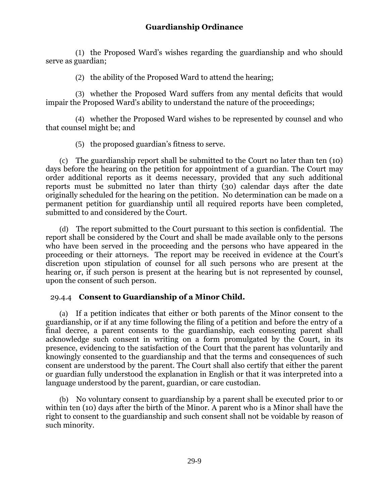(1) the Proposed Ward's wishes regarding the guardianship and who should serve as guardian;

(2) the ability of the Proposed Ward to attend the hearing;

(3) whether the Proposed Ward suffers from any mental deficits that would impair the Proposed Ward's ability to understand the nature of the proceedings;

(4) whether the Proposed Ward wishes to be represented by counsel and who that counsel might be; and

(5) the proposed guardian's fitness to serve.

(c) The guardianship report shall be submitted to the Court no later than ten (10) days before the hearing on the petition for appointment of a guardian. The Court may order additional reports as it deems necessary, provided that any such additional reports must be submitted no later than thirty (30) calendar days after the date originally scheduled for the hearing on the petition. No determination can be made on a permanent petition for guardianship until all required reports have been completed, submitted to and considered by the Court.

(d) The report submitted to the Court pursuant to this section is confidential. The report shall be considered by the Court and shall be made available only to the persons who have been served in the proceeding and the persons who have appeared in the proceeding or their attorneys. The report may be received in evidence at the Court's discretion upon stipulation of counsel for all such persons who are present at the hearing or, if such person is present at the hearing but is not represented by counsel, upon the consent of such person.

## 29.4.4 **Consent to Guardianship of a Minor Child.**

(a) If a petition indicates that either or both parents of the Minor consent to the guardianship, or if at any time following the filing of a petition and before the entry of a final decree, a parent consents to the guardianship, each consenting parent shall acknowledge such consent in writing on a form promulgated by the Court, in its presence, evidencing to the satisfaction of the Court that the parent has voluntarily and knowingly consented to the guardianship and that the terms and consequences of such consent are understood by the parent. The Court shall also certify that either the parent or guardian fully understood the explanation in English or that it was interpreted into a language understood by the parent, guardian, or care custodian.

(b) No voluntary consent to guardianship by a parent shall be executed prior to or within ten (10) days after the birth of the Minor. A parent who is a Minor shall have the right to consent to the guardianship and such consent shall not be voidable by reason of such minority.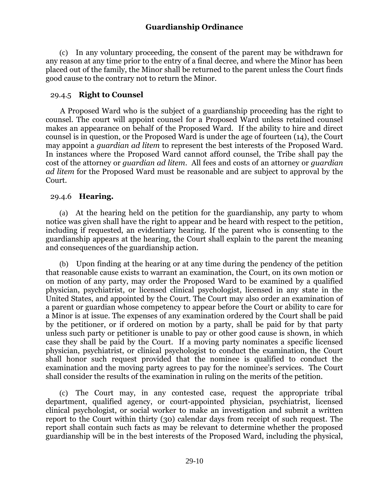(c) In any voluntary proceeding, the consent of the parent may be withdrawn for any reason at any time prior to the entry of a final decree, and where the Minor has been placed out of the family, the Minor shall be returned to the parent unless the Court finds good cause to the contrary not to return the Minor.

## 29.4.5 **Right to Counsel**

A Proposed Ward who is the subject of a guardianship proceeding has the right to counsel. The court will appoint counsel for a Proposed Ward unless retained counsel makes an appearance on behalf of the Proposed Ward. If the ability to hire and direct counsel is in question, or the Proposed Ward is under the age of fourteen (14), the Court may appoint a *guardian ad litem* to represent the best interests of the Proposed Ward. In instances where the Proposed Ward cannot afford counsel, the Tribe shall pay the cost of the attorney or *guardian ad litem*. All fees and costs of an attorney or *guardian ad litem* for the Proposed Ward must be reasonable and are subject to approval by the Court.

## 29.4.6 **Hearing.**

(a) At the hearing held on the petition for the guardianship, any party to whom notice was given shall have the right to appear and be heard with respect to the petition, including if requested, an evidentiary hearing. If the parent who is consenting to the guardianship appears at the hearing, the Court shall explain to the parent the meaning and consequences of the guardianship action.

(b) Upon finding at the hearing or at any time during the pendency of the petition that reasonable cause exists to warrant an examination, the Court, on its own motion or on motion of any party, may order the Proposed Ward to be examined by a qualified physician, psychiatrist, or licensed clinical psychologist, licensed in any state in the United States, and appointed by the Court. The Court may also order an examination of a parent or guardian whose competency to appear before the Court or ability to care for a Minor is at issue. The expenses of any examination ordered by the Court shall be paid by the petitioner, or if ordered on motion by a party, shall be paid for by that party unless such party or petitioner is unable to pay or other good cause is shown, in which case they shall be paid by the Court. If a moving party nominates a specific licensed physician, psychiatrist, or clinical psychologist to conduct the examination, the Court shall honor such request provided that the nominee is qualified to conduct the examination and the moving party agrees to pay for the nominee's services. The Court shall consider the results of the examination in ruling on the merits of the petition.

(c) The Court may, in any contested case, request the appropriate tribal department, qualified agency, or court-appointed physician, psychiatrist, licensed clinical psychologist, or social worker to make an investigation and submit a written report to the Court within thirty (30) calendar days from receipt of such request. The report shall contain such facts as may be relevant to determine whether the proposed guardianship will be in the best interests of the Proposed Ward, including the physical,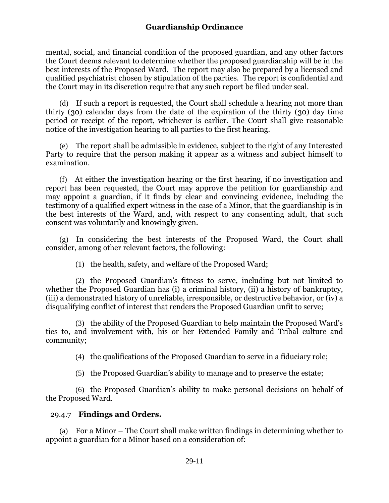mental, social, and financial condition of the proposed guardian, and any other factors the Court deems relevant to determine whether the proposed guardianship will be in the best interests of the Proposed Ward. The report may also be prepared by a licensed and qualified psychiatrist chosen by stipulation of the parties. The report is confidential and the Court may in its discretion require that any such report be filed under seal.

(d) If such a report is requested, the Court shall schedule a hearing not more than thirty (30) calendar days from the date of the expiration of the thirty (30) day time period or receipt of the report, whichever is earlier. The Court shall give reasonable notice of the investigation hearing to all parties to the first hearing.

(e) The report shall be admissible in evidence, subject to the right of any Interested Party to require that the person making it appear as a witness and subject himself to examination.

(f) At either the investigation hearing or the first hearing, if no investigation and report has been requested, the Court may approve the petition for guardianship and may appoint a guardian, if it finds by clear and convincing evidence, including the testimony of a qualified expert witness in the case of a Minor, that the guardianship is in the best interests of the Ward, and, with respect to any consenting adult, that such consent was voluntarily and knowingly given.

(g) In considering the best interests of the Proposed Ward, the Court shall consider, among other relevant factors, the following:

(1) the health, safety, and welfare of the Proposed Ward;

(2) the Proposed Guardian's fitness to serve, including but not limited to whether the Proposed Guardian has (i) a criminal history, (ii) a history of bankruptcy, (iii) a demonstrated history of unreliable, irresponsible, or destructive behavior, or (iv) a disqualifying conflict of interest that renders the Proposed Guardian unfit to serve;

(3) the ability of the Proposed Guardian to help maintain the Proposed Ward's ties to, and involvement with, his or her Extended Family and Tribal culture and community;

(4) the qualifications of the Proposed Guardian to serve in a fiduciary role;

(5) the Proposed Guardian's ability to manage and to preserve the estate;

(6) the Proposed Guardian's ability to make personal decisions on behalf of the Proposed Ward.

### 29.4.7 **Findings and Orders.**

(a) For a Minor – The Court shall make written findings in determining whether to appoint a guardian for a Minor based on a consideration of: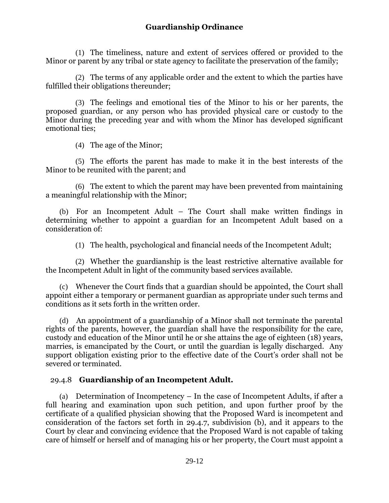(1) The timeliness, nature and extent of services offered or provided to the Minor or parent by any tribal or state agency to facilitate the preservation of the family;

(2) The terms of any applicable order and the extent to which the parties have fulfilled their obligations thereunder;

(3) The feelings and emotional ties of the Minor to his or her parents, the proposed guardian, or any person who has provided physical care or custody to the Minor during the preceding year and with whom the Minor has developed significant emotional ties;

(4) The age of the Minor;

(5) The efforts the parent has made to make it in the best interests of the Minor to be reunited with the parent; and

(6) The extent to which the parent may have been prevented from maintaining a meaningful relationship with the Minor;

(b) For an Incompetent Adult – The Court shall make written findings in determining whether to appoint a guardian for an Incompetent Adult based on a consideration of:

(1) The health, psychological and financial needs of the Incompetent Adult;

(2) Whether the guardianship is the least restrictive alternative available for the Incompetent Adult in light of the community based services available.

(c) Whenever the Court finds that a guardian should be appointed, the Court shall appoint either a temporary or permanent guardian as appropriate under such terms and conditions as it sets forth in the written order.

(d) An appointment of a guardianship of a Minor shall not terminate the parental rights of the parents, however, the guardian shall have the responsibility for the care, custody and education of the Minor until he or she attains the age of eighteen (18) years, marries, is emancipated by the Court, or until the guardian is legally discharged. Any support obligation existing prior to the effective date of the Court's order shall not be severed or terminated.

## 29.4.8 **Guardianship of an Incompetent Adult.**

(a) Determination of Incompetency – In the case of Incompetent Adults, if after a full hearing and examination upon such petition, and upon further proof by the certificate of a qualified physician showing that the Proposed Ward is incompetent and consideration of the factors set forth in 29.4.7, subdivision (b), and it appears to the Court by clear and convincing evidence that the Proposed Ward is not capable of taking care of himself or herself and of managing his or her property, the Court must appoint a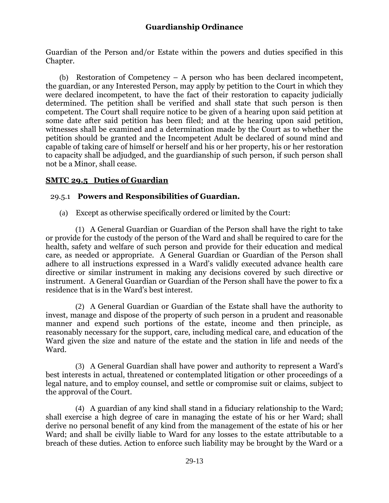Guardian of the Person and/or Estate within the powers and duties specified in this Chapter.

(b) Restoration of Competency – A person who has been declared incompetent, the guardian, or any Interested Person, may apply by petition to the Court in which they were declared incompetent, to have the fact of their restoration to capacity judicially determined. The petition shall be verified and shall state that such person is then competent. The Court shall require notice to be given of a hearing upon said petition at some date after said petition has been filed; and at the hearing upon said petition, witnesses shall be examined and a determination made by the Court as to whether the petition should be granted and the Incompetent Adult be declared of sound mind and capable of taking care of himself or herself and his or her property, his or her restoration to capacity shall be adjudged, and the guardianship of such person, if such person shall not be a Minor, shall cease.

## **SMTC 29.5 Duties of Guardian**

## 29.5.1 **Powers and Responsibilities of Guardian.**

(a) Except as otherwise specifically ordered or limited by the Court:

(1) A General Guardian or Guardian of the Person shall have the right to take or provide for the custody of the person of the Ward and shall be required to care for the health, safety and welfare of such person and provide for their education and medical care, as needed or appropriate. A General Guardian or Guardian of the Person shall adhere to all instructions expressed in a Ward's validly executed advance health care directive or similar instrument in making any decisions covered by such directive or instrument. A General Guardian or Guardian of the Person shall have the power to fix a residence that is in the Ward's best interest.

(2) A General Guardian or Guardian of the Estate shall have the authority to invest, manage and dispose of the property of such person in a prudent and reasonable manner and expend such portions of the estate, income and then principle, as reasonably necessary for the support, care, including medical care, and education of the Ward given the size and nature of the estate and the station in life and needs of the Ward.

(3) A General Guardian shall have power and authority to represent a Ward's best interests in actual, threatened or contemplated litigation or other proceedings of a legal nature, and to employ counsel, and settle or compromise suit or claims, subject to the approval of the Court.

(4) A guardian of any kind shall stand in a fiduciary relationship to the Ward; shall exercise a high degree of care in managing the estate of his or her Ward; shall derive no personal benefit of any kind from the management of the estate of his or her Ward; and shall be civilly liable to Ward for any losses to the estate attributable to a breach of these duties. Action to enforce such liability may be brought by the Ward or a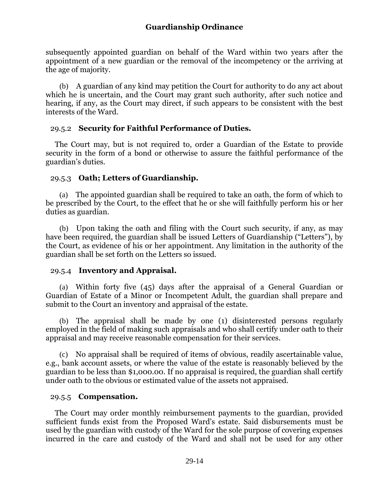subsequently appointed guardian on behalf of the Ward within two years after the appointment of a new guardian or the removal of the incompetency or the arriving at the age of majority.

(b) A guardian of any kind may petition the Court for authority to do any act about which he is uncertain, and the Court may grant such authority, after such notice and hearing, if any, as the Court may direct, if such appears to be consistent with the best interests of the Ward.

### 29.5.2 **Security for Faithful Performance of Duties.**

The Court may, but is not required to, order a Guardian of the Estate to provide security in the form of a bond or otherwise to assure the faithful performance of the guardian's duties.

#### 29.5.3 **Oath; Letters of Guardianship.**

(a) The appointed guardian shall be required to take an oath, the form of which to be prescribed by the Court, to the effect that he or she will faithfully perform his or her duties as guardian.

(b) Upon taking the oath and filing with the Court such security, if any, as may have been required, the guardian shall be issued Letters of Guardianship ("Letters"), by the Court, as evidence of his or her appointment. Any limitation in the authority of the guardian shall be set forth on the Letters so issued.

### 29.5.4 **Inventory and Appraisal.**

(a) Within forty five (45) days after the appraisal of a General Guardian or Guardian of Estate of a Minor or Incompetent Adult, the guardian shall prepare and submit to the Court an inventory and appraisal of the estate.

(b) The appraisal shall be made by one (1) disinterested persons regularly employed in the field of making such appraisals and who shall certify under oath to their appraisal and may receive reasonable compensation for their services.

(c) No appraisal shall be required of items of obvious, readily ascertainable value, e.g., bank account assets, or where the value of the estate is reasonably believed by the guardian to be less than \$1,000.00. If no appraisal is required, the guardian shall certify under oath to the obvious or estimated value of the assets not appraised.

### 29.5.5 **Compensation.**

The Court may order monthly reimbursement payments to the guardian, provided sufficient funds exist from the Proposed Ward's estate. Said disbursements must be used by the guardian with custody of the Ward for the sole purpose of covering expenses incurred in the care and custody of the Ward and shall not be used for any other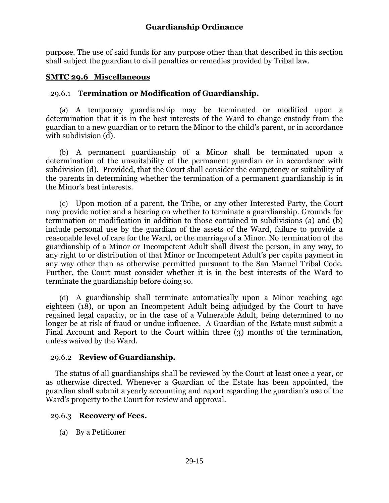purpose. The use of said funds for any purpose other than that described in this section shall subject the guardian to civil penalties or remedies provided by Tribal law.

### **SMTC 29.6 Miscellaneous**

### 29.6.1 **Termination or Modification of Guardianship.**

(a) A temporary guardianship may be terminated or modified upon a determination that it is in the best interests of the Ward to change custody from the guardian to a new guardian or to return the Minor to the child's parent, or in accordance with subdivision (d).

(b) A permanent guardianship of a Minor shall be terminated upon a determination of the unsuitability of the permanent guardian or in accordance with subdivision (d). Provided, that the Court shall consider the competency or suitability of the parents in determining whether the termination of a permanent guardianship is in the Minor's best interests.

(c) Upon motion of a parent, the Tribe, or any other Interested Party, the Court may provide notice and a hearing on whether to terminate a guardianship. Grounds for termination or modification in addition to those contained in subdivisions (a) and (b) include personal use by the guardian of the assets of the Ward, failure to provide a reasonable level of care for the Ward, or the marriage of a Minor. No termination of the guardianship of a Minor or Incompetent Adult shall divest the person, in any way, to any right to or distribution of that Minor or Incompetent Adult's per capita payment in any way other than as otherwise permitted pursuant to the San Manuel Tribal Code. Further, the Court must consider whether it is in the best interests of the Ward to terminate the guardianship before doing so.

(d) A guardianship shall terminate automatically upon a Minor reaching age eighteen (18), or upon an Incompetent Adult being adjudged by the Court to have regained legal capacity, or in the case of a Vulnerable Adult, being determined to no longer be at risk of fraud or undue influence. A Guardian of the Estate must submit a Final Account and Report to the Court within three (3) months of the termination, unless waived by the Ward.

### 29.6.2 **Review of Guardianship.**

The status of all guardianships shall be reviewed by the Court at least once a year, or as otherwise directed. Whenever a Guardian of the Estate has been appointed, the guardian shall submit a yearly accounting and report regarding the guardian's use of the Ward's property to the Court for review and approval.

### 29.6.3 **Recovery of Fees.**

(a) By a Petitioner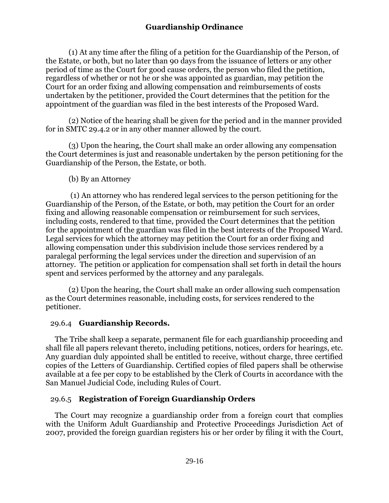(1) At any time after the filing of a petition for the Guardianship of the Person, of the Estate, or both, but no later than 90 days from the issuance of letters or any other period of time as the Court for good cause orders, the person who filed the petition, regardless of whether or not he or she was appointed as guardian, may petition the Court for an order fixing and allowing compensation and reimbursements of costs undertaken by the petitioner, provided the Court determines that the petition for the appointment of the guardian was filed in the best interests of the Proposed Ward.

(2) Notice of the hearing shall be given for the period and in the manner provided for in SMTC 29.4.2 or in any other manner allowed by the court.

(3) Upon the hearing, the Court shall make an order allowing any compensation the Court determines is just and reasonable undertaken by the person petitioning for the Guardianship of the Person, the Estate, or both.

### (b) By an Attorney

(1) An attorney who has rendered legal services to the person petitioning for the Guardianship of the Person, of the Estate, or both, may petition the Court for an order fixing and allowing reasonable compensation or reimbursement for such services, including costs, rendered to that time, provided the Court determines that the petition for the appointment of the guardian was filed in the best interests of the Proposed Ward. Legal services for which the attorney may petition the Court for an order fixing and allowing compensation under this subdivision include those services rendered by a paralegal performing the legal services under the direction and supervision of an attorney. The petition or application for compensation shall set forth in detail the hours spent and services performed by the attorney and any paralegals.

(2) Upon the hearing, the Court shall make an order allowing such compensation as the Court determines reasonable, including costs, for services rendered to the petitioner.

## 29.6.4 **Guardianship Records.**

The Tribe shall keep a separate, permanent file for each guardianship proceeding and shall file all papers relevant thereto, including petitions, notices, orders for hearings, etc. Any guardian duly appointed shall be entitled to receive, without charge, three certified copies of the Letters of Guardianship. Certified copies of filed papers shall be otherwise available at a fee per copy to be established by the Clerk of Courts in accordance with the San Manuel Judicial Code, including Rules of Court.

## 29.6.5 **Registration of Foreign Guardianship Orders**

The Court may recognize a guardianship order from a foreign court that complies with the Uniform Adult Guardianship and Protective Proceedings Jurisdiction Act of 2007, provided the foreign guardian registers his or her order by filing it with the Court,